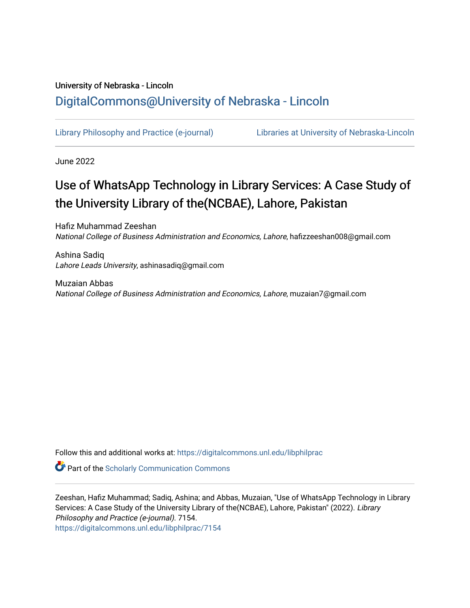# University of Nebraska - Lincoln [DigitalCommons@University of Nebraska - Lincoln](https://digitalcommons.unl.edu/)

[Library Philosophy and Practice \(e-journal\)](https://digitalcommons.unl.edu/libphilprac) [Libraries at University of Nebraska-Lincoln](https://digitalcommons.unl.edu/libraries) 

June 2022

# Use of WhatsApp Technology in Library Services: A Case Study of the University Library of the(NCBAE), Lahore, Pakistan

Hafiz Muhammad Zeeshan National College of Business Administration and Economics, Lahore, hafizzeeshan008@gmail.com

Ashina Sadiq Lahore Leads University, ashinasadiq@gmail.com

Muzaian Abbas National College of Business Administration and Economics, Lahore, muzaian7@gmail.com

Follow this and additional works at: [https://digitalcommons.unl.edu/libphilprac](https://digitalcommons.unl.edu/libphilprac?utm_source=digitalcommons.unl.edu%2Flibphilprac%2F7154&utm_medium=PDF&utm_campaign=PDFCoverPages) 

**Part of the Scholarly Communication Commons** 

Zeeshan, Hafiz Muhammad; Sadiq, Ashina; and Abbas, Muzaian, "Use of WhatsApp Technology in Library Services: A Case Study of the University Library of the(NCBAE), Lahore, Pakistan" (2022). Library Philosophy and Practice (e-journal). 7154. [https://digitalcommons.unl.edu/libphilprac/7154](https://digitalcommons.unl.edu/libphilprac/7154?utm_source=digitalcommons.unl.edu%2Flibphilprac%2F7154&utm_medium=PDF&utm_campaign=PDFCoverPages)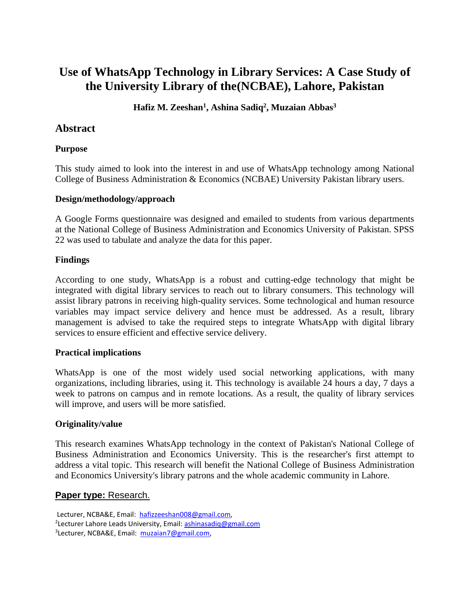# **Use of WhatsApp Technology in Library Services: A Case Study of the University Library of the(NCBAE), Lahore, Pakistan**

### **Hafiz M. Zeeshan<sup>1</sup> , Ashina Sadiq<sup>2</sup> , Muzaian Abbas<sup>3</sup>**

### **Abstract**

#### **Purpose**

This study aimed to look into the interest in and use of WhatsApp technology among National College of Business Administration & Economics (NCBAE) University Pakistan library users.

#### **Design/methodology/approach**

A Google Forms questionnaire was designed and emailed to students from various departments at the National College of Business Administration and Economics University of Pakistan. SPSS 22 was used to tabulate and analyze the data for this paper.

#### **Findings**

According to one study, WhatsApp is a robust and cutting-edge technology that might be integrated with digital library services to reach out to library consumers. This technology will assist library patrons in receiving high-quality services. Some technological and human resource variables may impact service delivery and hence must be addressed. As a result, library management is advised to take the required steps to integrate WhatsApp with digital library services to ensure efficient and effective service delivery.

#### **Practical implications**

WhatsApp is one of the most widely used social networking applications, with many organizations, including libraries, using it. This technology is available 24 hours a day, 7 days a week to patrons on campus and in remote locations. As a result, the quality of library services will improve, and users will be more satisfied.

#### **Originality/value**

This research examines WhatsApp technology in the context of Pakistan's National College of Business Administration and Economics University. This is the researcher's first attempt to address a vital topic. This research will benefit the National College of Business Administration and Economics University's library patrons and the whole academic community in Lahore.

#### **Paper type:** Research.

Lecturer, NCBA&E, Email: [hafizzeeshan008@gmail.com,](mailto:hafizzeeshan008@gmail.com) <sup>2</sup>Lecturer Lahore Leads University, Email: **ashinasadiq@gmail.com** <sup>3</sup>Lecturer, NCBA&E, Email: [muzaian7@gmail.com,](mailto:muzaian7@gmail.com)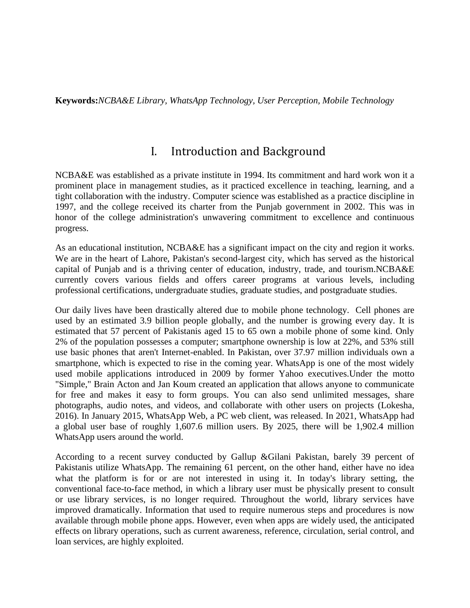**Keywords:***NCBA&E Library, WhatsApp Technology, User Perception, Mobile Technology*

# I. Introduction and Background

NCBA&E was established as a private institute in 1994. Its commitment and hard work won it a prominent place in management studies, as it practiced excellence in teaching, learning, and a tight collaboration with the industry. Computer science was established as a practice discipline in 1997, and the college received its charter from the Punjab government in 2002. This was in honor of the college administration's unwavering commitment to excellence and continuous progress.

As an educational institution, NCBA&E has a significant impact on the city and region it works. We are in the heart of Lahore, Pakistan's second-largest city, which has served as the historical capital of Punjab and is a thriving center of education, industry, trade, and tourism.NCBA&E currently covers various fields and offers career programs at various levels, including professional certifications, undergraduate studies, graduate studies, and postgraduate studies.

Our daily lives have been drastically altered due to mobile phone technology. Cell phones are used by an estimated 3.9 billion people globally, and the number is growing every day. It is estimated that 57 percent of Pakistanis aged 15 to 65 own a mobile phone of some kind. Only 2% of the population possesses a computer; smartphone ownership is low at 22%, and 53% still use basic phones that aren't Internet-enabled. In Pakistan, over 37.97 million individuals own a smartphone, which is expected to rise in the coming year. WhatsApp is one of the most widely used mobile applications introduced in 2009 by former Yahoo executives.Under the motto "Simple," Brain Acton and Jan Koum created an application that allows anyone to communicate for free and makes it easy to form groups. You can also send unlimited messages, share photographs, audio notes, and videos, and collaborate with other users on projects (Lokesha, 2016). In January 2015, WhatsApp Web, a PC web client, was released. In 2021, WhatsApp had a global user base of roughly 1,607.6 million users. By 2025, there will be 1,902.4 million WhatsApp users around the world.

According to a recent survey conducted by Gallup &Gilani Pakistan, barely 39 percent of Pakistanis utilize WhatsApp. The remaining 61 percent, on the other hand, either have no idea what the platform is for or are not interested in using it. In today's library setting, the conventional face-to-face method, in which a library user must be physically present to consult or use library services, is no longer required. Throughout the world, library services have improved dramatically. Information that used to require numerous steps and procedures is now available through mobile phone apps. However, even when apps are widely used, the anticipated effects on library operations, such as current awareness, reference, circulation, serial control, and loan services, are highly exploited.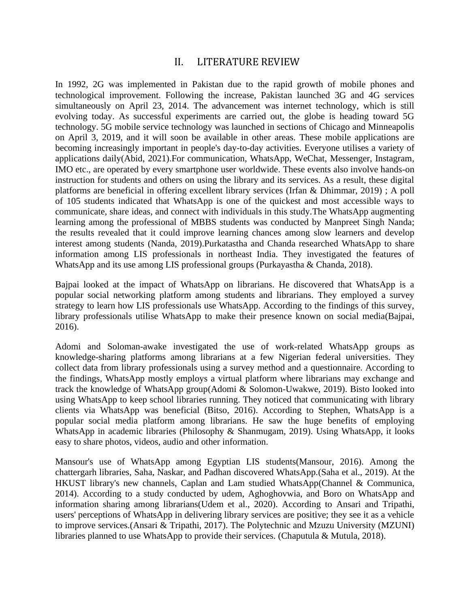### II. LITERATURE REVIEW

In 1992, 2G was implemented in Pakistan due to the rapid growth of mobile phones and technological improvement. Following the increase, Pakistan launched 3G and 4G services simultaneously on April 23, 2014. The advancement was internet technology, which is still evolving today. As successful experiments are carried out, the globe is heading toward 5G technology. 5G mobile service technology was launched in sections of Chicago and Minneapolis on April 3, 2019, and it will soon be available in other areas. These mobile applications are becoming increasingly important in people's day-to-day activities. Everyone utilises a variety of applications daily(Abid, 2021).For communication, WhatsApp, WeChat, Messenger, Instagram, IMO etc., are operated by every smartphone user worldwide. These events also involve hands-on instruction for students and others on using the library and its services. As a result, these digital platforms are beneficial in offering excellent library services (Irfan & Dhimmar, 2019) ; A poll of 105 students indicated that WhatsApp is one of the quickest and most accessible ways to communicate, share ideas, and connect with individuals in this study.The WhatsApp augmenting learning among the professional of MBBS students was conducted by Manpreet Singh Nanda; the results revealed that it could improve learning chances among slow learners and develop interest among students (Nanda, 2019).Purkatastha and Chanda researched WhatsApp to share information among LIS professionals in northeast India. They investigated the features of WhatsApp and its use among LIS professional groups (Purkayastha & Chanda, 2018).

Bajpai looked at the impact of WhatsApp on librarians. He discovered that WhatsApp is a popular social networking platform among students and librarians. They employed a survey strategy to learn how LIS professionals use WhatsApp. According to the findings of this survey, library professionals utilise WhatsApp to make their presence known on social media(Bajpai, 2016).

Adomi and Soloman-awake investigated the use of work-related WhatsApp groups as knowledge-sharing platforms among librarians at a few Nigerian federal universities. They collect data from library professionals using a survey method and a questionnaire. According to the findings, WhatsApp mostly employs a virtual platform where librarians may exchange and track the knowledge of WhatsApp group(Adomi & Solomon-Uwakwe, 2019). Bisto looked into using WhatsApp to keep school libraries running. They noticed that communicating with library clients via WhatsApp was beneficial (Bitso, 2016). According to Stephen, WhatsApp is a popular social media platform among librarians. He saw the huge benefits of employing WhatsApp in academic libraries (Philosophy & Shanmugam, 2019). Using WhatsApp, it looks easy to share photos, videos, audio and other information.

Mansour's use of WhatsApp among Egyptian LIS students(Mansour, 2016). Among the chattergarh libraries, Saha, Naskar, and Padhan discovered WhatsApp.(Saha et al., 2019). At the HKUST library's new channels, Caplan and Lam studied WhatsApp(Channel & Communica, 2014). According to a study conducted by udem, Aghoghovwia, and Boro on WhatsApp and information sharing among librarians(Udem et al., 2020). According to Ansari and Tripathi, users' perceptions of WhatsApp in delivering library services are positive; they see it as a vehicle to improve services.(Ansari & Tripathi, 2017). The Polytechnic and Mzuzu University (MZUNI) libraries planned to use WhatsApp to provide their services. (Chaputula & Mutula, 2018).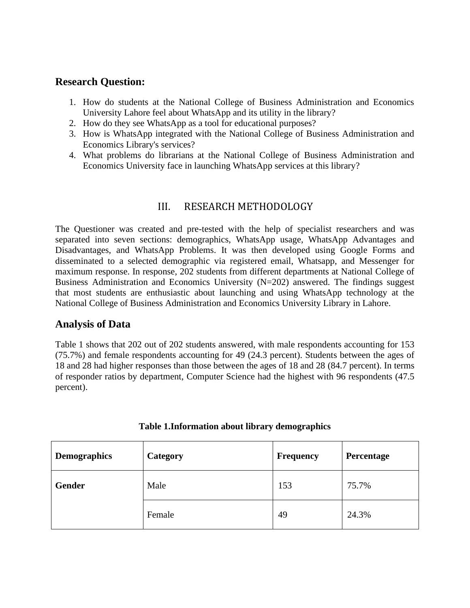### **Research Question:**

- 1. How do students at the National College of Business Administration and Economics University Lahore feel about WhatsApp and its utility in the library?
- 2. How do they see WhatsApp as a tool for educational purposes?
- 3. How is WhatsApp integrated with the National College of Business Administration and Economics Library's services?
- 4. What problems do librarians at the National College of Business Administration and Economics University face in launching WhatsApp services at this library?

### III. RESEARCH METHODOLOGY

The Questioner was created and pre-tested with the help of specialist researchers and was separated into seven sections: demographics, WhatsApp usage, WhatsApp Advantages and Disadvantages, and WhatsApp Problems. It was then developed using Google Forms and disseminated to a selected demographic via registered email, Whatsapp, and Messenger for maximum response. In response, 202 students from different departments at National College of Business Administration and Economics University (N=202) answered. The findings suggest that most students are enthusiastic about launching and using WhatsApp technology at the National College of Business Administration and Economics University Library in Lahore.

### **Analysis of Data**

Table 1 shows that 202 out of 202 students answered, with male respondents accounting for 153 (75.7%) and female respondents accounting for 49 (24.3 percent). Students between the ages of 18 and 28 had higher responses than those between the ages of 18 and 28 (84.7 percent). In terms of responder ratios by department, Computer Science had the highest with 96 respondents (47.5 percent).

| <b>Demographics</b> | <b>Category</b> | <b>Frequency</b> | Percentage |
|---------------------|-----------------|------------------|------------|
| Gender              | Male            | 153              | 75.7%      |
|                     | Female          | 49               | 24.3%      |

### **Table 1.Information about library demographics**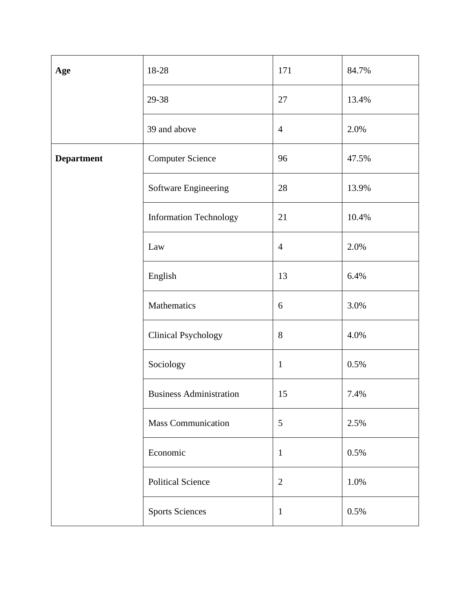| Age               | 18-28                          | 171            | 84.7% |
|-------------------|--------------------------------|----------------|-------|
|                   | 29-38                          | 27             | 13.4% |
|                   | 39 and above                   | $\overline{4}$ | 2.0%  |
| <b>Department</b> | <b>Computer Science</b>        | 96             | 47.5% |
|                   | Software Engineering           | 28             | 13.9% |
|                   | <b>Information Technology</b>  | 21             | 10.4% |
|                   | Law                            | $\overline{4}$ | 2.0%  |
|                   | English                        | 13             | 6.4%  |
|                   | Mathematics                    | 6              | 3.0%  |
|                   | <b>Clinical Psychology</b>     | 8              | 4.0%  |
|                   | Sociology                      | $\mathbf{1}$   | 0.5%  |
|                   | <b>Business Administration</b> | 15             | 7.4%  |
|                   | Mass Communication             | 5              | 2.5%  |
|                   | Economic                       | $\mathbf{1}$   | 0.5%  |
|                   | <b>Political Science</b>       | $\mathbf{2}$   | 1.0%  |
|                   | <b>Sports Sciences</b>         | $\mathbf{1}$   | 0.5%  |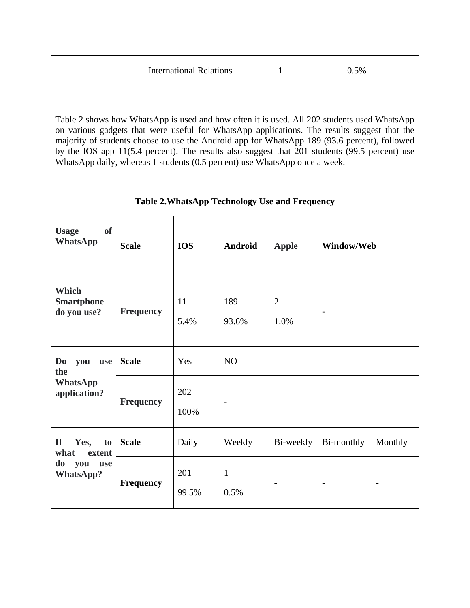| <b>International Relations</b> |  | 0.5% |  |
|--------------------------------|--|------|--|
|--------------------------------|--|------|--|

Table 2 shows how WhatsApp is used and how often it is used. All 202 students used WhatsApp on various gadgets that were useful for WhatsApp applications. The results suggest that the majority of students choose to use the Android app for WhatsApp 189 (93.6 percent), followed by the IOS app 11(5.4 percent). The results also suggest that 201 students (99.5 percent) use WhatsApp daily, whereas 1 students (0.5 percent) use WhatsApp once a week.

| <b>of</b><br><b>Usage</b><br><b>WhatsApp</b> | <b>Scale</b>     | <b>IOS</b>   | Android              | <b>Apple</b>             | Window/Web               |                          |  |
|----------------------------------------------|------------------|--------------|----------------------|--------------------------|--------------------------|--------------------------|--|
| Which<br><b>Smartphone</b><br>do you use?    | <b>Frequency</b> | 11<br>5.4%   | 189<br>93.6%         | $\mathbf{2}$<br>1.0%     | $\overline{\phantom{a}}$ |                          |  |
| Do<br>you<br>use<br>the                      | <b>Scale</b>     | Yes          | <b>NO</b>            |                          |                          |                          |  |
| <b>WhatsApp</b><br>application?              | <b>Frequency</b> | 202<br>100%  |                      |                          |                          |                          |  |
| <b>If</b><br>Yes,<br>to  <br>what<br>extent  | <b>Scale</b>     | Daily        | Weekly               | Bi-weekly                | Bi-monthly               | Monthly                  |  |
| do<br>you<br>use<br><b>WhatsApp?</b>         | <b>Frequency</b> | 201<br>99.5% | $\mathbf{1}$<br>0.5% | $\overline{\phantom{a}}$ | $\overline{\phantom{a}}$ | $\overline{\phantom{0}}$ |  |

### **Table 2.WhatsApp Technology Use and Frequency**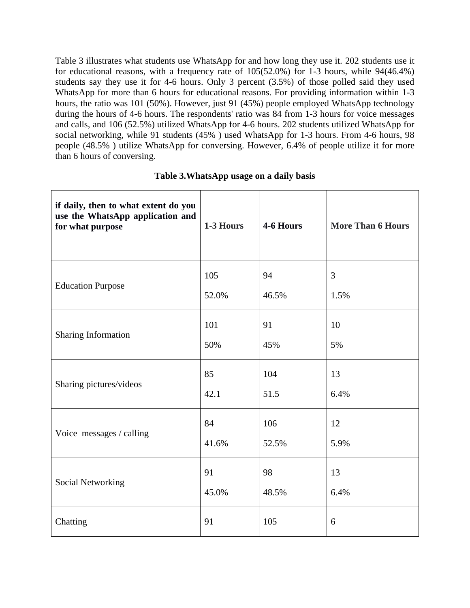Table 3 illustrates what students use WhatsApp for and how long they use it. 202 students use it for educational reasons, with a frequency rate of 105(52.0%) for 1-3 hours, while 94(46.4%) students say they use it for 4-6 hours. Only 3 percent (3.5%) of those polled said they used WhatsApp for more than 6 hours for educational reasons. For providing information within 1-3 hours, the ratio was 101 (50%). However, just 91 (45%) people employed WhatsApp technology during the hours of 4-6 hours. The respondents' ratio was 84 from 1-3 hours for voice messages and calls, and 106 (52.5%) utilized WhatsApp for 4-6 hours. 202 students utilized WhatsApp for social networking, while 91 students (45% ) used WhatsApp for 1-3 hours. From 4-6 hours, 98 people (48.5% ) utilize WhatsApp for conversing. However, 6.4% of people utilize it for more than 6 hours of conversing.

| if daily, then to what extent do you<br>use the WhatsApp application and<br>for what purpose | 1-3 Hours | 4-6 Hours | <b>More Than 6 Hours</b> |
|----------------------------------------------------------------------------------------------|-----------|-----------|--------------------------|
| <b>Education Purpose</b>                                                                     | 105       | 94        | 3                        |
|                                                                                              | 52.0%     | 46.5%     | 1.5%                     |
| Sharing Information                                                                          | 101       | 91        | 10                       |
|                                                                                              | 50%       | 45%       | 5%                       |
| Sharing pictures/videos                                                                      | 85        | 104       | 13                       |
|                                                                                              | 42.1      | 51.5      | 6.4%                     |
| Voice messages / calling                                                                     | 84        | 106       | 12                       |
|                                                                                              | 41.6%     | 52.5%     | 5.9%                     |
| <b>Social Networking</b>                                                                     | 91        | 98        | 13                       |
|                                                                                              | 45.0%     | 48.5%     | 6.4%                     |
| Chatting                                                                                     | 91        | 105       | 6                        |

#### **Table 3.WhatsApp usage on a daily basis**

Τ

Τ

 $\Gamma$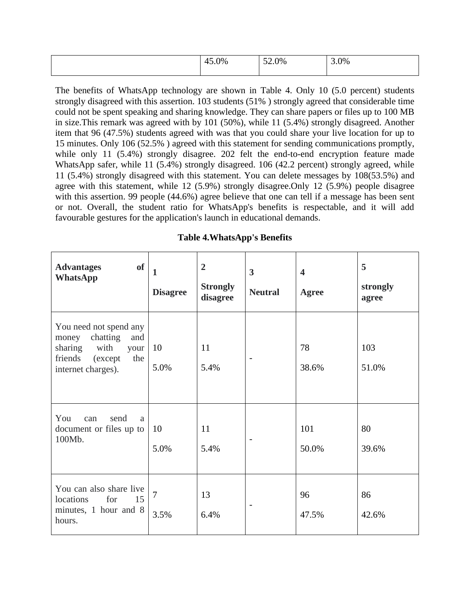| $\gamma_{\%}$ | $\sim$<br>2.0% | 3.0% |
|---------------|----------------|------|
|               |                |      |

The benefits of WhatsApp technology are shown in Table 4. Only 10 (5.0 percent) students strongly disagreed with this assertion. 103 students (51% ) strongly agreed that considerable time could not be spent speaking and sharing knowledge. They can share papers or files up to 100 MB in size.This remark was agreed with by 101 (50%), while 11 (5.4%) strongly disagreed. Another item that 96 (47.5%) students agreed with was that you could share your live location for up to 15 minutes. Only 106 (52.5% ) agreed with this statement for sending communications promptly, while only 11 (5.4%) strongly disagree. 202 felt the end-to-end encryption feature made WhatsApp safer, while 11 (5.4%) strongly disagreed. 106 (42.2 percent) strongly agreed, while 11 (5.4%) strongly disagreed with this statement. You can delete messages by 108(53.5%) and agree with this statement, while 12 (5.9%) strongly disagree.Only 12 (5.9%) people disagree with this assertion. 99 people (44.6%) agree believe that one can tell if a message has been sent or not. Overall, the student ratio for WhatsApp's benefits is respectable, and it will add favourable gestures for the application's launch in educational demands.

| <b>of</b><br><b>Advantages</b><br><b>WhatsApp</b>                                                                             | $\mathbf{1}$<br><b>Disagree</b> | $\overline{2}$<br><b>Strongly</b><br>disagree | $\overline{\mathbf{3}}$<br><b>Neutral</b> | $\overline{\mathbf{4}}$<br>Agree | 5<br>strongly<br>agree |
|-------------------------------------------------------------------------------------------------------------------------------|---------------------------------|-----------------------------------------------|-------------------------------------------|----------------------------------|------------------------|
| You need not spend any<br>chatting<br>and<br>money<br>with<br>sharing<br>your<br>friends (except<br>the<br>internet charges). | 10<br>5.0%                      | 11<br>5.4%                                    |                                           | 78<br>38.6%                      | 103<br>51.0%           |
| You<br>send<br>can<br>a<br>document or files up to<br>100Mb.                                                                  | 10<br>5.0%                      | 11<br>5.4%                                    |                                           | 101<br>50.0%                     | 80<br>39.6%            |
| You can also share live<br>locations<br>for<br>15<br>minutes, 1 hour and 8<br>hours.                                          | $\overline{7}$<br>3.5%          | 13<br>6.4%                                    |                                           | 96<br>47.5%                      | 86<br>42.6%            |

**Table 4.WhatsApp's Benefits**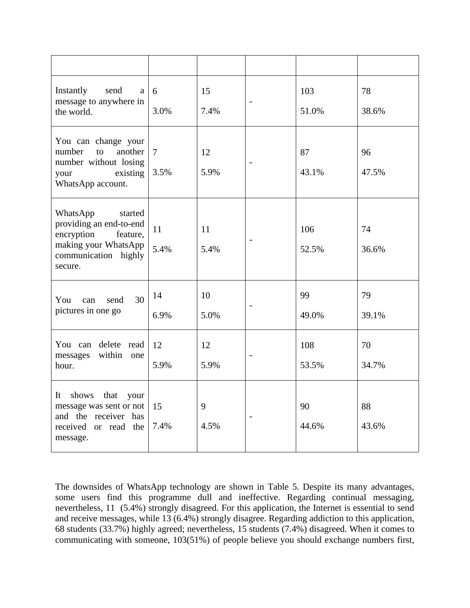| Instantly<br>send<br>a<br>message to anywhere in<br>the world.                                                                      | 6<br>3.0%              | 15<br>7.4% |                          | 103<br>51.0% | 78<br>38.6% |
|-------------------------------------------------------------------------------------------------------------------------------------|------------------------|------------|--------------------------|--------------|-------------|
| You can change your<br>another<br>number<br>to<br>number without losing<br>existing<br>your<br>WhatsApp account.                    | $\overline{7}$<br>3.5% | 12<br>5.9% |                          | 87<br>43.1%  | 96<br>47.5% |
| WhatsApp<br>started<br>providing an end-to-end<br>encryption<br>feature,<br>making your WhatsApp<br>communication highly<br>secure. | 11<br>5.4%             | 11<br>5.4% |                          | 106<br>52.5% | 74<br>36.6% |
| 30<br>You<br>can<br>send<br>pictures in one go                                                                                      | 14<br>6.9%             | 10<br>5.0% | $\overline{\phantom{a}}$ | 99<br>49.0%  | 79<br>39.1% |
| You can delete read<br>within one<br>messages<br>hour.                                                                              | 12<br>5.9%             | 12<br>5.9% |                          | 108<br>53.5% | 70<br>34.7% |
| It<br>shows<br>that<br>your<br>message was sent or not<br>and the receiver has<br>received or read the<br>message.                  | 15<br>7.4%             | 9<br>4.5%  |                          | 90<br>44.6%  | 88<br>43.6% |

The downsides of WhatsApp technology are shown in Table 5. Despite its many advantages, some users find this programme dull and ineffective. Regarding continual messaging, nevertheless, 11 (5.4%) strongly disagreed. For this application, the Internet is essential to send and receive messages, while 13 (6.4%) strongly disagree. Regarding addiction to this application, 68 students (33.7%) highly agreed; nevertheless, 15 students (7.4%) disagreed. When it comes to communicating with someone, 103(51%) of people believe you should exchange numbers first,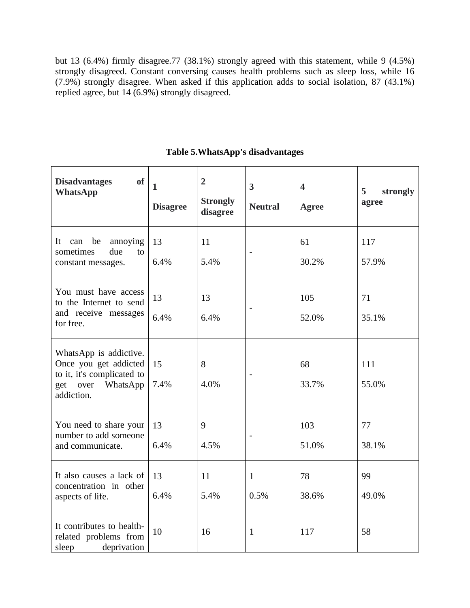but 13 (6.4%) firmly disagree.77 (38.1%) strongly agreed with this statement, while 9 (4.5%) strongly disagreed. Constant conversing causes health problems such as sleep loss, while 16 (7.9%) strongly disagree. When asked if this application adds to social isolation, 87 (43.1%) replied agree, but 14 (6.9%) strongly disagreed.

| of<br><b>Disadvantages</b><br><b>WhatsApp</b>                                                                       | $\mathbf{1}$<br><b>Disagree</b> | $\overline{2}$<br><b>Strongly</b><br>disagree | $\overline{\mathbf{3}}$<br><b>Neutral</b> | $\overline{\mathbf{4}}$<br><b>Agree</b> | 5<br>strongly<br>agree |
|---------------------------------------------------------------------------------------------------------------------|---------------------------------|-----------------------------------------------|-------------------------------------------|-----------------------------------------|------------------------|
| It can<br>be<br>annoying<br>sometimes<br>due<br>to<br>constant messages.                                            | 13<br>6.4%                      | 11<br>5.4%                                    | $\overline{a}$                            | 61<br>30.2%                             | 117<br>57.9%           |
| You must have access<br>to the Internet to send<br>and receive messages<br>for free.                                | 13<br>6.4%                      | 13<br>6.4%                                    |                                           | 105<br>52.0%                            | 71<br>35.1%            |
| WhatsApp is addictive.<br>Once you get addicted<br>to it, it's complicated to<br>get over<br>WhatsApp<br>addiction. | 15<br>7.4%                      | 8<br>4.0%                                     |                                           | 68<br>33.7%                             | 111<br>55.0%           |
| You need to share your<br>number to add someone<br>and communicate.                                                 | 13<br>6.4%                      | 9<br>4.5%                                     |                                           | 103<br>51.0%                            | 77<br>38.1%            |
| It also causes a lack of<br>concentration in other<br>aspects of life.                                              | 13<br>6.4%                      | 11<br>5.4%                                    | $\mathbf{1}$<br>0.5%                      | 78<br>38.6%                             | 99<br>49.0%            |
| It contributes to health-<br>related problems from<br>sleep<br>deprivation                                          | 10                              | 16                                            | $\mathbf{1}$                              | 117                                     | 58                     |

### **Table 5.WhatsApp's disadvantages**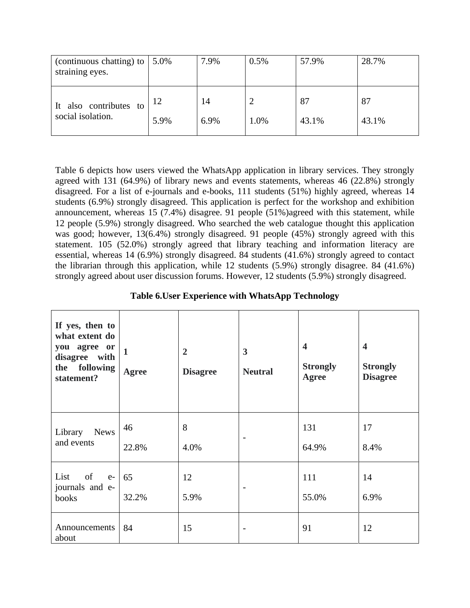| (continuous chatting) to<br>straining eyes.    | 5.0%       | 7.9%       | 0.5% | 57.9%       | 28.7%       |
|------------------------------------------------|------------|------------|------|-------------|-------------|
| also contributes to<br>It<br>social isolation. | 12<br>5.9% | 14<br>6.9% | 1.0% | 87<br>43.1% | 87<br>43.1% |

Table 6 depicts how users viewed the WhatsApp application in library services. They strongly agreed with 131 (64.9%) of library news and events statements, whereas 46 (22.8%) strongly disagreed. For a list of e-journals and e-books, 111 students (51%) highly agreed, whereas 14 students (6.9%) strongly disagreed. This application is perfect for the workshop and exhibition announcement, whereas 15  $(7.4%)$  disagree. 91 people  $(51%)$  agreed with this statement, while 12 people (5.9%) strongly disagreed. Who searched the web catalogue thought this application was good; however, 13(6.4%) strongly disagreed. 91 people (45%) strongly agreed with this statement. 105 (52.0%) strongly agreed that library teaching and information literacy are essential, whereas 14 (6.9%) strongly disagreed. 84 students (41.6%) strongly agreed to contact the librarian through this application, while 12 students (5.9%) strongly disagree. 84 (41.6%) strongly agreed about user discussion forums. However, 12 students (5.9%) strongly disagreed.

| Table 6. User Experience with WhatsApp Technology |
|---------------------------------------------------|
|---------------------------------------------------|

| If yes, then to<br>what extent do<br>you agree or<br>disagree with<br>the following<br>statement? | $\mathbf{1}$<br>Agree | $\overline{2}$<br><b>Disagree</b> | $\mathbf{3}$<br><b>Neutral</b> | $\blacktriangleleft$<br><b>Strongly</b><br>Agree | $\overline{\mathbf{4}}$<br><b>Strongly</b><br><b>Disagree</b> |
|---------------------------------------------------------------------------------------------------|-----------------------|-----------------------------------|--------------------------------|--------------------------------------------------|---------------------------------------------------------------|
| <b>News</b><br>Library<br>and events                                                              | 46<br>22.8%           | 8<br>4.0%                         |                                | 131<br>64.9%                                     | 17<br>8.4%                                                    |
| of<br>List<br>$e-$<br>journals and e-<br>books                                                    | 65<br>32.2%           | 12<br>5.9%                        |                                | 111<br>55.0%                                     | 14<br>6.9%                                                    |
| Announcements<br>about                                                                            | 84                    | 15                                |                                | 91                                               | 12                                                            |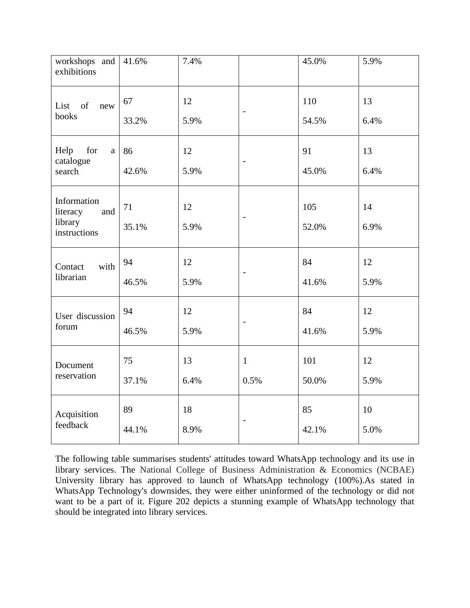| workshops and<br>exhibitions                              | 41.6%       | 7.4%       |                          | 45.0%        | 5.9%       |
|-----------------------------------------------------------|-------------|------------|--------------------------|--------------|------------|
| List of<br>new<br>books                                   | 67<br>33.2% | 12<br>5.9% | $\overline{\phantom{m}}$ | 110<br>54.5% | 13<br>6.4% |
| for<br>Help<br>a<br>catalogue<br>search                   | 86<br>42.6% | 12<br>5.9% | $\overline{\phantom{a}}$ | 91<br>45.0%  | 13<br>6.4% |
| Information<br>literacy<br>and<br>library<br>instructions | 71<br>35.1% | 12<br>5.9% | $\overline{\phantom{a}}$ | 105<br>52.0% | 14<br>6.9% |
| with<br>Contact<br>librarian                              | 94<br>46.5% | 12<br>5.9% | $\overline{\phantom{a}}$ | 84<br>41.6%  | 12<br>5.9% |
| User discussion<br>forum                                  | 94<br>46.5% | 12<br>5.9% | $\qquad \qquad -$        | 84<br>41.6%  | 12<br>5.9% |
| Document<br>reservation                                   | 75<br>37.1% | 13<br>6.4% | $\mathbf{1}$<br>0.5%     | 101<br>50.0% | 12<br>5.9% |
| Acquisition<br>feedback                                   | 89<br>44.1% | 18<br>8.9% | $\overline{\phantom{0}}$ | 85<br>42.1%  | 10<br>5.0% |

The following table summarises students' attitudes toward WhatsApp technology and its use in library services. The National College of Business Administration & Economics (NCBAE) University library has approved to launch of WhatsApp technology (100%).As stated in WhatsApp Technology's downsides, they were either uninformed of the technology or did not want to be a part of it. Figure 202 depicts a stunning example of WhatsApp technology that should be integrated into library services.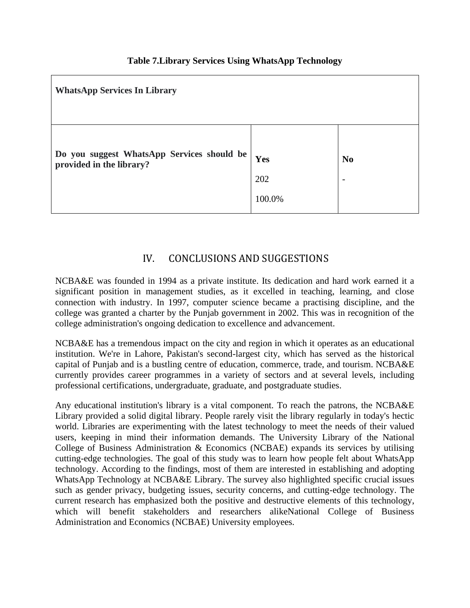| <b>WhatsApp Services In Library</b>                                 |            |                                            |  |  |
|---------------------------------------------------------------------|------------|--------------------------------------------|--|--|
| Do you suggest WhatsApp Services should be provided in the library? | Yes<br>202 | N <sub>0</sub><br>$\overline{\phantom{a}}$ |  |  |
|                                                                     | 100.0%     |                                            |  |  |

### **Table 7.Library Services Using WhatsApp Technology**

### IV. CONCLUSIONS AND SUGGESTIONS

NCBA&E was founded in 1994 as a private institute. Its dedication and hard work earned it a significant position in management studies, as it excelled in teaching, learning, and close connection with industry. In 1997, computer science became a practising discipline, and the college was granted a charter by the Punjab government in 2002. This was in recognition of the college administration's ongoing dedication to excellence and advancement.

NCBA&E has a tremendous impact on the city and region in which it operates as an educational institution. We're in Lahore, Pakistan's second-largest city, which has served as the historical capital of Punjab and is a bustling centre of education, commerce, trade, and tourism. NCBA&E currently provides career programmes in a variety of sectors and at several levels, including professional certifications, undergraduate, graduate, and postgraduate studies.

Any educational institution's library is a vital component. To reach the patrons, the NCBA&E Library provided a solid digital library. People rarely visit the library regularly in today's hectic world. Libraries are experimenting with the latest technology to meet the needs of their valued users, keeping in mind their information demands. The University Library of the National College of Business Administration & Economics (NCBAE) expands its services by utilising cutting-edge technologies. The goal of this study was to learn how people felt about WhatsApp technology. According to the findings, most of them are interested in establishing and adopting WhatsApp Technology at NCBA&E Library. The survey also highlighted specific crucial issues such as gender privacy, budgeting issues, security concerns, and cutting-edge technology. The current research has emphasized both the positive and destructive elements of this technology, which will benefit stakeholders and researchers alikeNational College of Business Administration and Economics (NCBAE) University employees.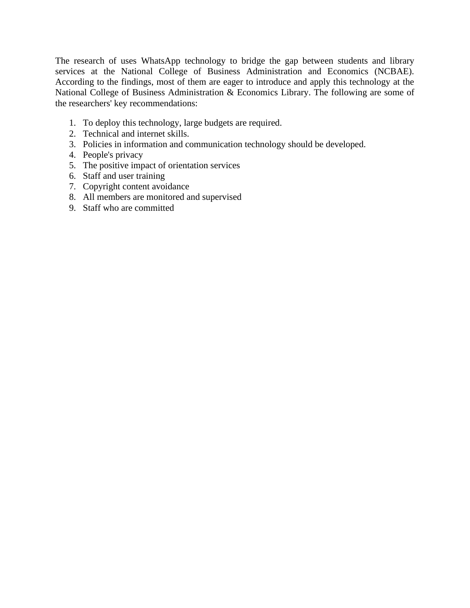The research of uses WhatsApp technology to bridge the gap between students and library services at the National College of Business Administration and Economics (NCBAE). According to the findings, most of them are eager to introduce and apply this technology at the National College of Business Administration & Economics Library. The following are some of the researchers' key recommendations:

- 1. To deploy this technology, large budgets are required.
- 2. Technical and internet skills.
- 3. Policies in information and communication technology should be developed.
- 4. People's privacy
- 5. The positive impact of orientation services
- 6. Staff and user training
- 7. Copyright content avoidance
- 8. All members are monitored and supervised
- 9. Staff who are committed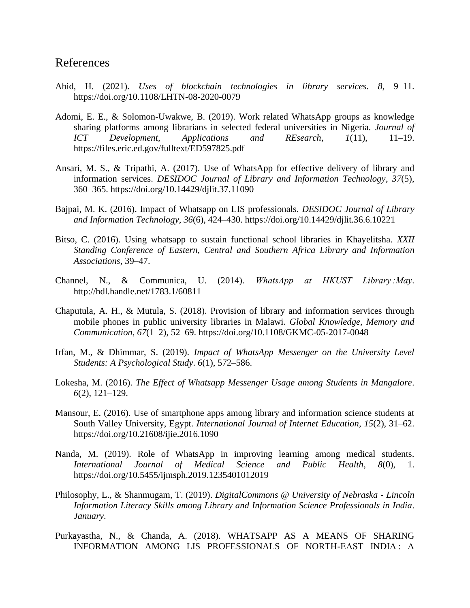### References

- Abid, H. (2021). *Uses of blockchain technologies in library services*. *8*, 9–11. https://doi.org/10.1108/LHTN-08-2020-0079
- Adomi, E. E., & Solomon-Uwakwe, B. (2019). Work related WhatsApp groups as knowledge sharing platforms among librarians in selected federal universities in Nigeria. *Journal of ICT Development, Applications and REsearch*, *1*(11), 11–19. https://files.eric.ed.gov/fulltext/ED597825.pdf
- Ansari, M. S., & Tripathi, A. (2017). Use of WhatsApp for effective delivery of library and information services. *DESIDOC Journal of Library and Information Technology*, *37*(5), 360–365. https://doi.org/10.14429/djlit.37.11090
- Bajpai, M. K. (2016). Impact of Whatsapp on LIS professionals. *DESIDOC Journal of Library and Information Technology*, *36*(6), 424–430. https://doi.org/10.14429/djlit.36.6.10221
- Bitso, C. (2016). Using whatsapp to sustain functional school libraries in Khayelitsha. *XXII Standing Conference of Eastern, Central and Southern Africa Library and Information Associations*, 39–47.
- Channel, N., & Communica, U. (2014). *WhatsApp at HKUST Library :May*. http://hdl.handle.net/1783.1/60811
- Chaputula, A. H., & Mutula, S. (2018). Provision of library and information services through mobile phones in public university libraries in Malawi. *Global Knowledge, Memory and Communication*, *67*(1–2), 52–69. https://doi.org/10.1108/GKMC-05-2017-0048
- Irfan, M., & Dhimmar, S. (2019). *Impact of WhatsApp Messenger on the University Level Students: A Psychological Study*. *6*(1), 572–586.
- Lokesha, M. (2016). *The Effect of Whatsapp Messenger Usage among Students in Mangalore*. *6*(2), 121–129.
- Mansour, E. (2016). Use of smartphone apps among library and information science students at South Valley University, Egypt. *International Journal of Internet Education*, *15*(2), 31–62. https://doi.org/10.21608/ijie.2016.1090
- Nanda, M. (2019). Role of WhatsApp in improving learning among medical students. *International Journal of Medical Science and Public Health*, *8*(0), 1. https://doi.org/10.5455/ijmsph.2019.1235401012019
- Philosophy, L., & Shanmugam, T. (2019). *DigitalCommons @ University of Nebraska - Lincoln Information Literacy Skills among Library and Information Science Professionals in India*. *January*.
- Purkayastha, N., & Chanda, A. (2018). WHATSAPP AS A MEANS OF SHARING INFORMATION AMONG LIS PROFESSIONALS OF NORTH-EAST INDIA : A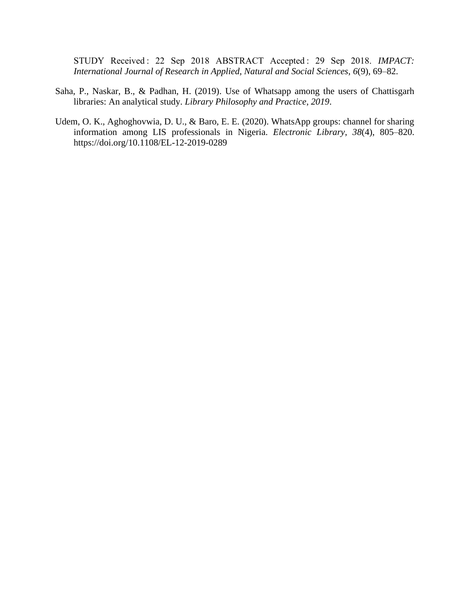STUDY Received : 22 Sep 2018 ABSTRACT Accepted : 29 Sep 2018. *IMPACT: International Journal of Research in Applied, Natural and Social Sciences*, *6*(9), 69–82.

- Saha, P., Naskar, B., & Padhan, H. (2019). Use of Whatsapp among the users of Chattisgarh libraries: An analytical study. *Library Philosophy and Practice*, *2019*.
- Udem, O. K., Aghoghovwia, D. U., & Baro, E. E. (2020). WhatsApp groups: channel for sharing information among LIS professionals in Nigeria. *Electronic Library*, *38*(4), 805–820. https://doi.org/10.1108/EL-12-2019-0289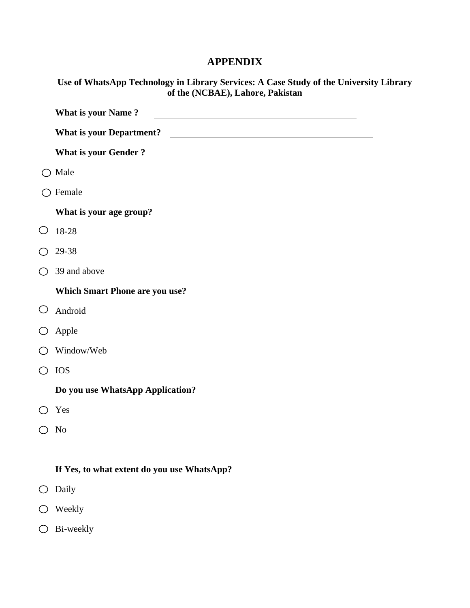### **APPENDIX**

|                                                    | Use of WhatsApp Technology in Library Services: A Case Study of the University Library<br>of the (NCBAE), Lahore, Pakistan |
|----------------------------------------------------|----------------------------------------------------------------------------------------------------------------------------|
|                                                    | <b>What is your Name?</b>                                                                                                  |
|                                                    | What is your Department?                                                                                                   |
|                                                    | <b>What is your Gender?</b>                                                                                                |
| ◯                                                  | Male                                                                                                                       |
|                                                    | $\bigcirc$ Female                                                                                                          |
|                                                    | What is your age group?                                                                                                    |
| O                                                  | 18-28                                                                                                                      |
| ○                                                  | 29-38                                                                                                                      |
|                                                    | $\bigcirc$ 39 and above                                                                                                    |
|                                                    | <b>Which Smart Phone are you use?</b>                                                                                      |
| O                                                  | Android                                                                                                                    |
| $\bigcirc$                                         | Apple                                                                                                                      |
| $\left(\begin{array}{c} 0 \\ 0 \end{array}\right)$ | Window/Web                                                                                                                 |
| ◯                                                  | <b>IOS</b>                                                                                                                 |
|                                                    | Do you use WhatsApp Application?                                                                                           |
| $\bigcirc$                                         | Yes                                                                                                                        |
| ◯                                                  | N <sub>o</sub>                                                                                                             |
|                                                    |                                                                                                                            |
|                                                    | If Yes, to what extent do you use WhatsApp?                                                                                |
| O                                                  | Daily                                                                                                                      |
|                                                    | Weekly                                                                                                                     |

 $\bigcirc$  Bi-weekly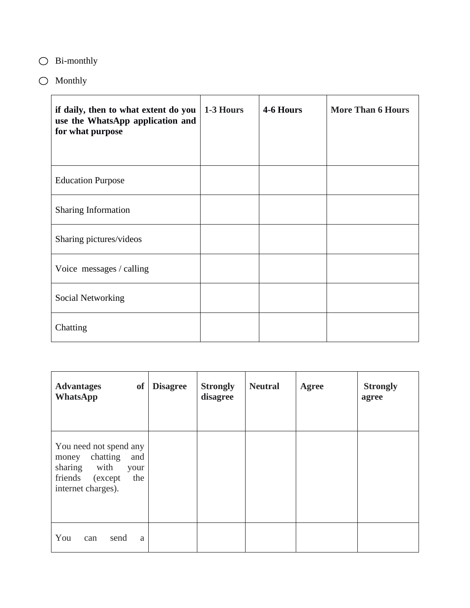# Bi-monthly

 $\bigcirc$  Monthly

| if daily, then to what extent do you<br>use the WhatsApp application and<br>for what purpose | 1-3 Hours | 4-6 Hours | <b>More Than 6 Hours</b> |
|----------------------------------------------------------------------------------------------|-----------|-----------|--------------------------|
| <b>Education Purpose</b>                                                                     |           |           |                          |
| <b>Sharing Information</b>                                                                   |           |           |                          |
| Sharing pictures/videos                                                                      |           |           |                          |
| Voice messages / calling                                                                     |           |           |                          |
| Social Networking                                                                            |           |           |                          |
| Chatting                                                                                     |           |           |                          |

| <b>Advantages</b><br><b>of</b><br><b>WhatsApp</b>                                                                                | <b>Disagree</b> | <b>Strongly</b><br>disagree | <b>Neutral</b> | <b>Agree</b> | <b>Strongly</b><br>agree |
|----------------------------------------------------------------------------------------------------------------------------------|-----------------|-----------------------------|----------------|--------------|--------------------------|
| You need not spend any<br>chatting<br>and<br>money<br>with<br>sharing<br>your<br>friends<br>the<br>(except<br>internet charges). |                 |                             |                |              |                          |
| You<br>send<br>can<br>a                                                                                                          |                 |                             |                |              |                          |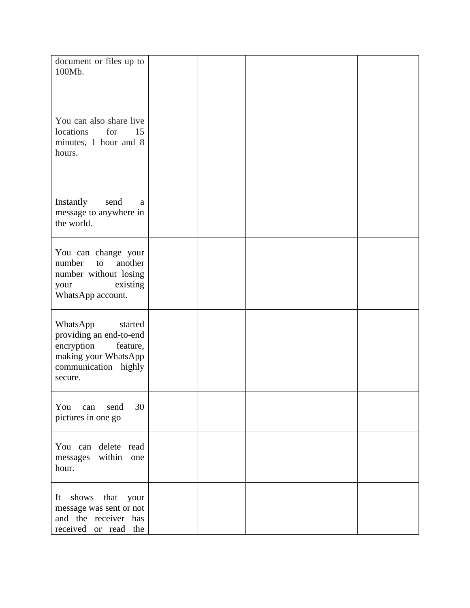| document or files up to<br>100Mb.                                                                                                   |  |  |  |
|-------------------------------------------------------------------------------------------------------------------------------------|--|--|--|
| You can also share live<br>for<br>locations<br>15<br>minutes, 1 hour and 8<br>hours.                                                |  |  |  |
| Instantly<br>send<br>a<br>message to anywhere in<br>the world.                                                                      |  |  |  |
| You can change your<br>number<br>another<br>to<br>number without losing<br>existing<br>your<br>WhatsApp account.                    |  |  |  |
| WhatsApp<br>started<br>providing an end-to-end<br>encryption<br>feature,<br>making your WhatsApp<br>communication highly<br>secure. |  |  |  |
| 30<br>send<br>You can<br>pictures in one go                                                                                         |  |  |  |
| You can delete read<br>messages within one<br>hour.                                                                                 |  |  |  |
| It shows that your<br>message was sent or not<br>and the receiver has<br>received or read the                                       |  |  |  |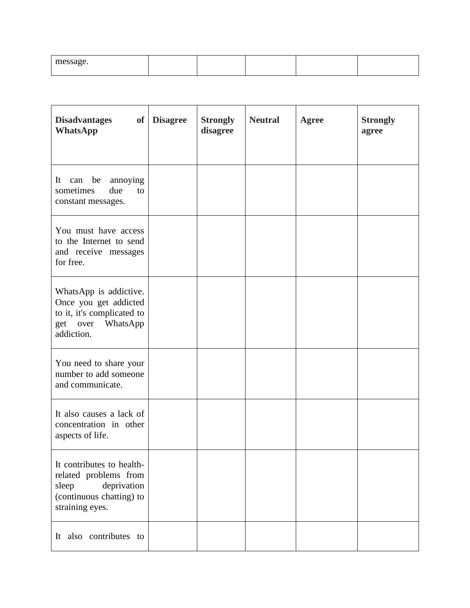| $\sim$<br>- - 40 -<br>. <del>.</del> . <u>.</u> |  |  |  |
|-------------------------------------------------|--|--|--|
|                                                 |  |  |  |

| <b>Disadvantages</b><br>of<br><b>WhatsApp</b>                                                                             | <b>Disagree</b> | <b>Strongly</b><br>disagree | <b>Neutral</b> | <b>Agree</b> | <b>Strongly</b><br>agree |
|---------------------------------------------------------------------------------------------------------------------------|-----------------|-----------------------------|----------------|--------------|--------------------------|
| It<br>can be<br>annoying<br>sometimes<br>due<br>to<br>constant messages.                                                  |                 |                             |                |              |                          |
| You must have access<br>to the Internet to send<br>and receive messages<br>for free.                                      |                 |                             |                |              |                          |
| WhatsApp is addictive.<br>Once you get addicted<br>to it, it's complicated to<br>WhatsApp<br>get over<br>addiction.       |                 |                             |                |              |                          |
| You need to share your<br>number to add someone<br>and communicate.                                                       |                 |                             |                |              |                          |
| It also causes a lack of<br>concentration in other<br>aspects of life.                                                    |                 |                             |                |              |                          |
| It contributes to health-<br>related problems from<br>deprivation<br>sleep<br>(continuous chatting) to<br>straining eyes. |                 |                             |                |              |                          |
| It also contributes to                                                                                                    |                 |                             |                |              |                          |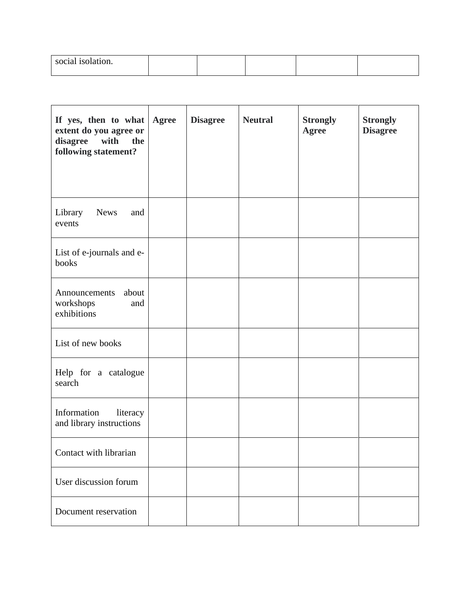| social isolation.<br>. |  |  |  |
|------------------------|--|--|--|
|                        |  |  |  |

| If yes, then to what<br>extent do you agree or<br>with<br>disagree<br>the<br>following statement? | Agree | <b>Disagree</b> | <b>Neutral</b> | <b>Strongly</b><br><b>Agree</b> | <b>Strongly</b><br><b>Disagree</b> |
|---------------------------------------------------------------------------------------------------|-------|-----------------|----------------|---------------------------------|------------------------------------|
| <b>News</b><br>Library<br>and<br>events                                                           |       |                 |                |                                 |                                    |
| List of e-journals and e-<br>books                                                                |       |                 |                |                                 |                                    |
| about<br>Announcements<br>workshops<br>and<br>exhibitions                                         |       |                 |                |                                 |                                    |
| List of new books                                                                                 |       |                 |                |                                 |                                    |
| Help for a catalogue<br>search                                                                    |       |                 |                |                                 |                                    |
| Information<br>literacy<br>and library instructions                                               |       |                 |                |                                 |                                    |
| Contact with librarian                                                                            |       |                 |                |                                 |                                    |
| User discussion forum                                                                             |       |                 |                |                                 |                                    |
| Document reservation                                                                              |       |                 |                |                                 |                                    |